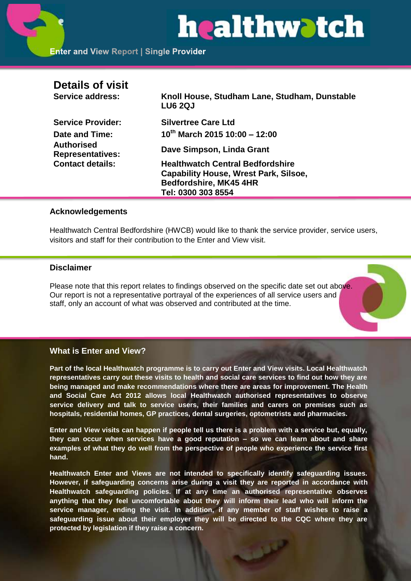# healthwatch

| <b>Details of visit</b><br>Service address:                             | Knoll House, Studham Lane, Studham, Dunstable<br><b>LU6 2QJ</b> |
|-------------------------------------------------------------------------|-----------------------------------------------------------------|
| <b>Service Provider:</b>                                                | <b>Silvertree Care Ltd</b>                                      |
| Date and Time:                                                          | $10^{th}$ March 2015 10:00 - 12:00                              |
| <b>Authorised</b><br><b>Representatives:</b><br><b>Contact details:</b> | Dave Simpson, Linda Grant                                       |
|                                                                         | <b>Healthwatch Central Bedfordshire</b>                         |
|                                                                         | <b>Capability House, Wrest Park, Silsoe,</b>                    |
|                                                                         | <b>Bedfordshire, MK45 4HR</b>                                   |
|                                                                         | Tel: 0300 303 8554                                              |

# **Acknowledgements**

Healthwatch Central Bedfordshire (HWCB) would like to thank the service provider, service users, visitors and staff for their contribution to the Enter and View visit.

# **Disclaimer**

Please note that this report relates to findings observed on the specific date set out above. Our report is not a representative portrayal of the experiences of all service users and staff, only an account of what was observed and contributed at the time.

# **What is Enter and View?**

**Part of the local Healthwatch programme is to carry out Enter and View visits. Local Healthwatch representatives carry out these visits to health and social care services to find out how they are being managed and make recommendations where there are areas for improvement. The Health and Social Care Act 2012 allows local Healthwatch authorised representatives to observe service delivery and talk to service users, their families and carers on premises such as hospitals, residential homes, GP practices, dental surgeries, optometrists and pharmacies.** 

**Enter and View visits can happen if people tell us there is a problem with a service but, equally, they can occur when services have a good reputation – so we can learn about and share examples of what they do well from the perspective of people who experience the service first hand.**

**Healthwatch Enter and Views are not intended to specifically identify safeguarding issues. However, if safeguarding concerns arise during a visit they are reported in accordance with Healthwatch safeguarding policies. If at any time an authorised representative observes anything that they feel uncomfortable about they will inform their lead who will inform the service manager, ending the visit. In addition, if any member of staff wishes to raise a safeguarding issue about their employer they will be directed to the CQC where they are protected by legislation if they raise a concern.**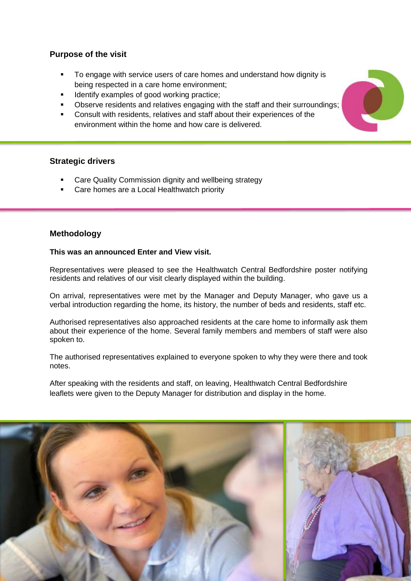# **Purpose of the visit**

- To engage with service users of care homes and understand how dignity is being respected in a care home environment;
- Identify examples of good working practice;
- Observe residents and relatives engaging with the staff and their surroundings;
- Consult with residents, relatives and staff about their experiences of the environment within the home and how care is delivered.

# **Strategic drivers**

- Care Quality Commission dignity and wellbeing strategy
- Care homes are a Local Healthwatch priority

# **Methodology**

#### **This was an announced Enter and View visit.**

Representatives were pleased to see the Healthwatch Central Bedfordshire poster notifying residents and relatives of our visit clearly displayed within the building.

On arrival, representatives were met by the Manager and Deputy Manager, who gave us a verbal introduction regarding the home, its history, the number of beds and residents, staff etc.

Authorised representatives also approached residents at the care home to informally ask them about their experience of the home. Several family members and members of staff were also spoken to.

The authorised representatives explained to everyone spoken to why they were there and took notes.

After speaking with the residents and staff, on leaving, Healthwatch Central Bedfordshire leaflets were given to the Deputy Manager for distribution and display in the home.



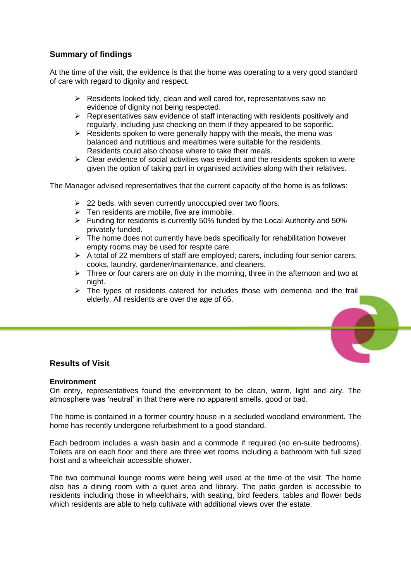# **Summary of findings**

At the time of the visit, the evidence is that the home was operating to a very good standard of care with regard to dignity and respect.

- $\triangleright$  Residents looked tidy, clean and well cared for, representatives saw no evidence of dignity not being respected.
- $\triangleright$  Representatives saw evidence of staff interacting with residents positively and regularly, including just checking on them if they appeared to be soporific.
- $\triangleright$  Residents spoken to were generally happy with the meals, the menu was balanced and nutritious and mealtimes were suitable for the residents. Residents could also choose where to take their meals.
- $\triangleright$  Clear evidence of social activities was evident and the residents spoken to were given the option of taking part in organised activities along with their relatives.

The Manager advised representatives that the current capacity of the home is as follows:

- $\geq$  22 beds, with seven currently unoccupied over two floors.
- $\triangleright$  Ten residents are mobile, five are immobile.
- $\triangleright$  Funding for residents is currently 50% funded by the Local Authority and 50% privately funded.
- $\triangleright$  The home does not currently have beds specifically for rehabilitation however empty rooms may be used for respite care.
- $\triangleright$  A total of 22 members of staff are employed; carers, including four senior carers, cooks, laundry, gardener/maintenance, and cleaners.
- $\triangleright$  Three or four carers are on duty in the morning, three in the afternoon and two at night.
- $\triangleright$  The types of residents catered for includes those with dementia and the frail elderly. All residents are over the age of 65.



### **Results of Visit**

#### **Environment**

On entry, representatives found the environment to be clean, warm, light and airy. The atmosphere was 'neutral' in that there were no apparent smells, good or bad.

The home is contained in a former country house in a secluded woodland environment. The home has recently undergone refurbishment to a good standard.

Each bedroom includes a wash basin and a commode if required (no en-suite bedrooms). Toilets are on each floor and there are three wet rooms including a bathroom with full sized hoist and a wheelchair accessible shower.

The two communal lounge rooms were being well used at the time of the visit. The home also has a dining room with a quiet area and library. The patio garden is accessible to residents including those in wheelchairs, with seating, bird feeders, tables and flower beds which residents are able to help cultivate with additional views over the estate.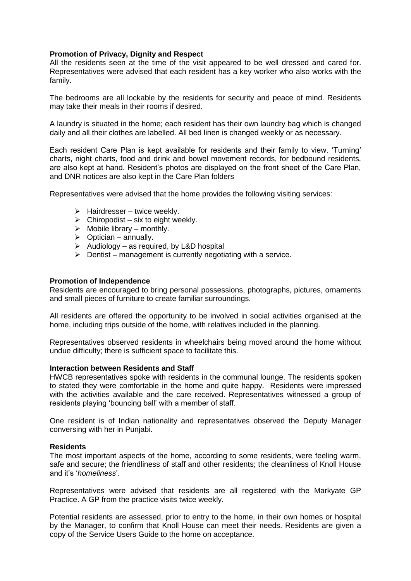#### **Promotion of Privacy, Dignity and Respect**

All the residents seen at the time of the visit appeared to be well dressed and cared for. Representatives were advised that each resident has a key worker who also works with the family.

The bedrooms are all lockable by the residents for security and peace of mind. Residents may take their meals in their rooms if desired.

A laundry is situated in the home; each resident has their own laundry bag which is changed daily and all their clothes are labelled. All bed linen is changed weekly or as necessary.

Each resident Care Plan is kept available for residents and their family to view. 'Turning' charts, night charts, food and drink and bowel movement records, for bedbound residents, are also kept at hand. Resident's photos are displayed on the front sheet of the Care Plan, and DNR notices are also kept in the Care Plan folders

Representatives were advised that the home provides the following visiting services:

- $\triangleright$  Hairdresser twice weekly.
- $\triangleright$  Chiropodist six to eight weekly.
- $\triangleright$  Mobile library monthly.
- $\triangleright$  Optician annually.
- $\triangleright$  Audiology as required, by L&D hospital
- $\triangleright$  Dentist management is currently negotiating with a service.

#### **Promotion of Independence**

Residents are encouraged to bring personal possessions, photographs, pictures, ornaments and small pieces of furniture to create familiar surroundings.

All residents are offered the opportunity to be involved in social activities organised at the home, including trips outside of the home, with relatives included in the planning.

Representatives observed residents in wheelchairs being moved around the home without undue difficulty; there is sufficient space to facilitate this.

#### **Interaction between Residents and Staff**

HWCB representatives spoke with residents in the communal lounge. The residents spoken to stated they were comfortable in the home and quite happy. Residents were impressed with the activities available and the care received. Representatives witnessed a group of residents playing 'bouncing ball' with a member of staff.

One resident is of Indian nationality and representatives observed the Deputy Manager conversing with her in Punjabi.

#### **Residents**

The most important aspects of the home, according to some residents, were feeling warm, safe and secure; the friendliness of staff and other residents; the cleanliness of Knoll House and it's '*homeliness*'.

Representatives were advised that residents are all registered with the Markyate GP Practice. A GP from the practice visits twice weekly.

Potential residents are assessed, prior to entry to the home, in their own homes or hospital by the Manager, to confirm that Knoll House can meet their needs. Residents are given a copy of the Service Users Guide to the home on acceptance.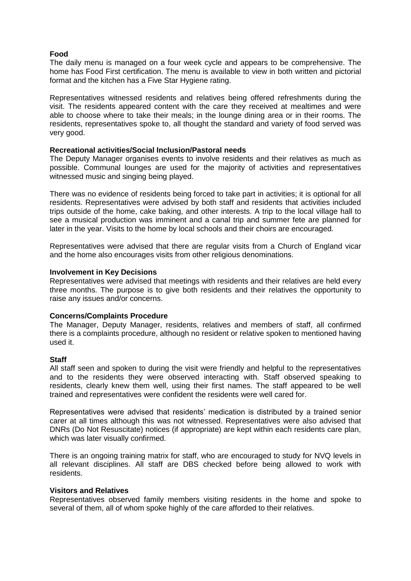#### **Food**

The daily menu is managed on a four week cycle and appears to be comprehensive. The home has Food First certification. The menu is available to view in both written and pictorial format and the kitchen has a Five Star Hygiene rating.

Representatives witnessed residents and relatives being offered refreshments during the visit. The residents appeared content with the care they received at mealtimes and were able to choose where to take their meals; in the lounge dining area or in their rooms. The residents, representatives spoke to, all thought the standard and variety of food served was very good.

#### **Recreational activities/Social Inclusion/Pastoral needs**

The Deputy Manager organises events to involve residents and their relatives as much as possible. Communal lounges are used for the majority of activities and representatives witnessed music and singing being played.

There was no evidence of residents being forced to take part in activities; it is optional for all residents. Representatives were advised by both staff and residents that activities included trips outside of the home, cake baking, and other interests. A trip to the local village hall to see a musical production was imminent and a canal trip and summer fete are planned for later in the year. Visits to the home by local schools and their choirs are encouraged.

Representatives were advised that there are regular visits from a Church of England vicar and the home also encourages visits from other religious denominations.

#### **Involvement in Key Decisions**

Representatives were advised that meetings with residents and their relatives are held every three months. The purpose is to give both residents and their relatives the opportunity to raise any issues and/or concerns.

#### **Concerns/Complaints Procedure**

The Manager, Deputy Manager, residents, relatives and members of staff, all confirmed there is a complaints procedure, although no resident or relative spoken to mentioned having used it.

#### **Staff**

All staff seen and spoken to during the visit were friendly and helpful to the representatives and to the residents they were observed interacting with. Staff observed speaking to residents, clearly knew them well, using their first names. The staff appeared to be well trained and representatives were confident the residents were well cared for.

Representatives were advised that residents' medication is distributed by a trained senior carer at all times although this was not witnessed. Representatives were also advised that DNRs (Do Not Resuscitate) notices (if appropriate) are kept within each residents care plan, which was later visually confirmed.

There is an ongoing training matrix for staff, who are encouraged to study for NVQ levels in all relevant disciplines. All staff are DBS checked before being allowed to work with residents.

#### **Visitors and Relatives**

Representatives observed family members visiting residents in the home and spoke to several of them, all of whom spoke highly of the care afforded to their relatives.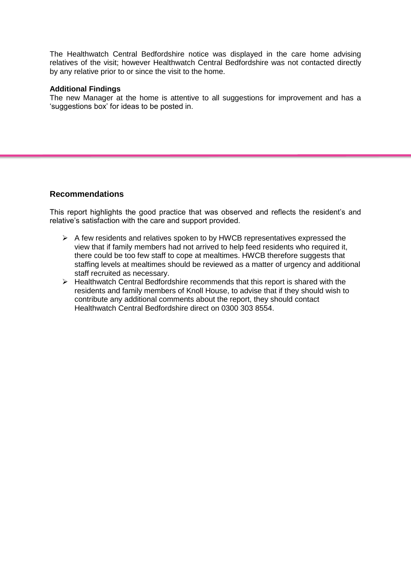The Healthwatch Central Bedfordshire notice was displayed in the care home advising relatives of the visit; however Healthwatch Central Bedfordshire was not contacted directly by any relative prior to or since the visit to the home.

#### **Additional Findings**

The new Manager at the home is attentive to all suggestions for improvement and has a 'suggestions box' for ideas to be posted in.

# **Recommendations**

This report highlights the good practice that was observed and reflects the resident's and relative's satisfaction with the care and support provided.

- $\triangleright$  A few residents and relatives spoken to by HWCB representatives expressed the view that if family members had not arrived to help feed residents who required it, there could be too few staff to cope at mealtimes. HWCB therefore suggests that staffing levels at mealtimes should be reviewed as a matter of urgency and additional staff recruited as necessary.
- > Healthwatch Central Bedfordshire recommends that this report is shared with the residents and family members of Knoll House, to advise that if they should wish to contribute any additional comments about the report, they should contact Healthwatch Central Bedfordshire direct on 0300 303 8554.